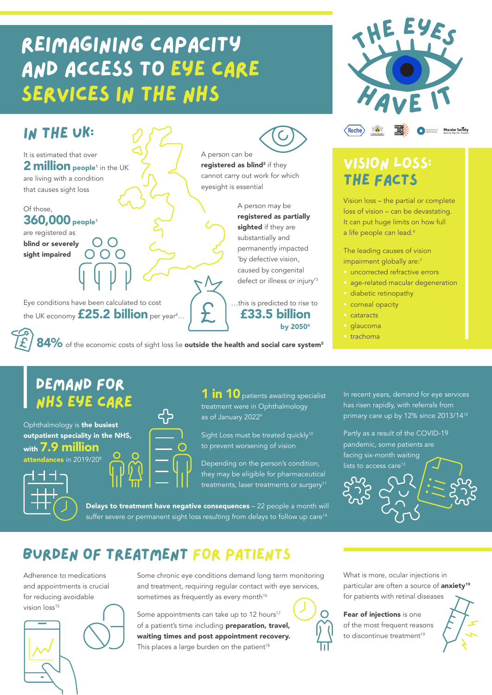# Reimagining capacity and access to eye care SERVICES IN THE NHS







**Macular Society** 

### Vision loss: the facts

Vision loss – the partial or complete loss of vision – can be devastating. It can put huge limits on how full a life people can lead.<sup>6</sup>

The leading causes of vision impairment globally are:<sup>7</sup>

- uncorrected refractive errors
- age-related macular degeneration
- diabetic retinopathy
- corneal opacity
- cataracts
- glaucoma
- 

## Demand for NHS eye care

Ophthalmology is the busiest outpatient speciality in the NHS,







**1 in 10** patients awaiting specialist treatment were in Ophthalmology as of January 2022<sup>9</sup>

Sight Loss must be treated quickly<sup>10</sup> to prevent worsening of vision

Depending on the person's condition, they may be eligible for pharmaceutical treatments, laser treatments or surgery<sup>11</sup>

Delays to treatment have negative consequences - 22 people a month will suffer severe or permanent sight loss resulting from delays to follow up care<sup>14</sup>

In recent years, demand for eye services has risen rapidly, with referrals from primary care up by 12% since 2013/1412

Partly as a result of the COVID-19 pandemic, some patients are facing six-month waiting lists to access care<sup>13</sup>

Burden of treatment for patients

Adherence to medications and appointments is crucial for reducing avoidable vision loss<sup>15</sup>



Some chronic eye conditions demand long term monitoring and treatment, requiring regular contact with eye services, sometimes as frequently as every month<sup>16</sup>

Some appointments can take up to 12 hours<sup>17</sup> of a patient's time including preparation, travel, waiting times and post appointment recovery. This places a large burden on the patient<sup>18</sup>

What is more, ocular injections in particular are often a source of **anxiety<sup>19</sup>** for patients with retinal diseases

Fear of injections is one of the most frequent reasons to discontinue treatment<sup>19</sup>